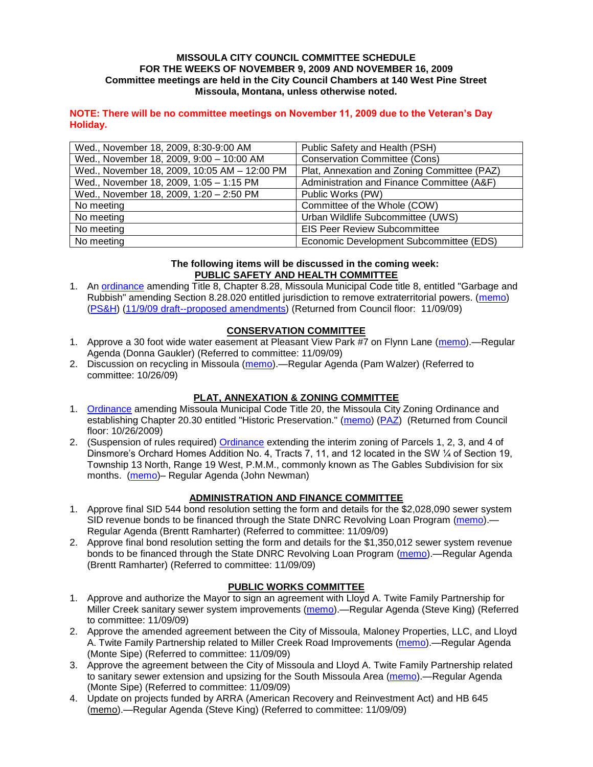#### **MISSOULA CITY COUNCIL COMMITTEE SCHEDULE FOR THE WEEKS OF NOVEMBER 9, 2009 AND NOVEMBER 16, 2009 Committee meetings are held in the City Council Chambers at 140 West Pine Street Missoula, Montana, unless otherwise noted.**

#### **NOTE: There will be no committee meetings on November 11, 2009 due to the Veteran's Day Holiday.**

| Wed., November 18, 2009, 8:30-9:00 AM        | Public Safety and Health (PSH)              |
|----------------------------------------------|---------------------------------------------|
| Wed., November 18, 2009, 9:00 - 10:00 AM     | <b>Conservation Committee (Cons)</b>        |
| Wed., November 18, 2009, 10:05 AM - 12:00 PM | Plat, Annexation and Zoning Committee (PAZ) |
| Wed., November 18, 2009, 1:05 - 1:15 PM      | Administration and Finance Committee (A&F)  |
| Wed., November 18, 2009, 1:20 - 2:50 PM      | Public Works (PW)                           |
| No meeting                                   | Committee of the Whole (COW)                |
| No meeting                                   | Urban Wildlife Subcommittee (UWS)           |
| No meeting                                   | <b>EIS Peer Review Subcommittee</b>         |
| No meeting                                   | Economic Development Subcommittee (EDS)     |

#### **The following items will be discussed in the coming week: PUBLIC SAFETY AND HEALTH COMMITTEE**

1. An [ordinance](http://www.ci.missoula.mt.us/DocumentView.aspx?DID=2212) amending Title 8, Chapter 8.28, Missoula Municipal Code title 8, entitled "Garbage and Rubbish" amending Section 8.28.020 entitled jurisdiction to remove extraterritorial powers. [\(memo\)](http://www.ci.missoula.mt.us/DocumentView.aspx?DID=2229) [\(PS&H\)](http://www.ci.missoula.mt.us/Archive.aspx?ADID=1339) [\(11/9/09 draft--proposed amendments\)](http://www.ci.missoula.mt.us/DocumentView.aspx?DID=2547) (Returned from Council floor: 11/09/09)

## **CONSERVATION COMMITTEE**

- 1. Approve a 30 foot wide water easement at Pleasant View Park #7 on Flynn Lane [\(memo\)](http://www.ci.missoula.mt.us/DocumentView.aspx?DID=2517).—Regular Agenda (Donna Gaukler) (Referred to committee: 11/09/09)
- 2. Discussion on recycling in Missoula [\(memo\)](http://www.ci.missoula.mt.us/DocumentView.aspx?DID=2461).—Regular Agenda (Pam Walzer) (Referred to committee: 10/26/09)

# **PLAT, ANNEXATION & ZONING COMMITTEE**

- 1. [Ordinance](http://www.ci.missoula.mt.us/DocumentView.aspx?DID=2328) amending Missoula Municipal Code Title 20, the Missoula City Zoning Ordinance and establishing Chapter 20.30 entitled "Historic Preservation." [\(memo\)](http://www.ci.missoula.mt.us/DocumentView.aspx?DID=2306) [\(PAZ\)](http://www.ci.missoula.mt.us/Archive.aspx?ADID=1285) (Returned from Council floor: 10/26/2009)
- 2. (Suspension of rules required) [Ordinance](http://www.ci.missoula.mt.us/DocumentView.aspx?DID=2555) extending the interim zoning of Parcels 1, 2, 3, and 4 of Dinsmore's Orchard Homes Addition No. 4, Tracts 7, 11, and 12 located in the SW ¼ of Section 19, Township 13 North, Range 19 West, P.M.M., commonly known as The Gables Subdivision for six months. [\(memo\)](http://www.ci.missoula.mt.us/DocumentView.aspx?DID=2556)– Regular Agenda (John Newman)

### **ADMINISTRATION AND FINANCE COMMITTEE**

- 1. Approve final SID 544 bond resolution setting the form and details for the \$2,028,090 sewer system SID revenue bonds to be financed through the State DNRC Revolving Loan Program [\(memo\)](http://www.ci.missoula.mt.us/DocumentView.aspx?DID=2523).— Regular Agenda (Brentt Ramharter) (Referred to committee: 11/09/09)
- 2. Approve final bond resolution setting the form and details for the \$1,350,012 sewer system revenue bonds to be financed through the State DNRC Revolving Loan Program [\(memo\)](http://www.ci.missoula.mt.us/DocumentView.aspx?DID=2524).—Regular Agenda (Brentt Ramharter) (Referred to committee: 11/09/09)

### **PUBLIC WORKS COMMITTEE**

- 1. Approve and authorize the Mayor to sign an agreement with Lloyd A. Twite Family Partnership for Miller Creek sanitary sewer system improvements [\(memo\)](http://www.ci.missoula.mt.us/DocumentView.aspx?DID=2532).—Regular Agenda (Steve King) (Referred to committee: 11/09/09)
- 2. Approve the amended agreement between the City of Missoula, Maloney Properties, LLC, and Lloyd A. Twite Family Partnership related to Miller Creek Road Improvements [\(memo\)](http://www.ci.missoula.mt.us/DocumentView.aspx?DID=2530).—Regular Agenda (Monte Sipe) (Referred to committee: 11/09/09)
- 3. Approve the agreement between the City of Missoula and Lloyd A. Twite Family Partnership related to sanitary sewer extension and upsizing for the South Missoula Area [\(memo\)](http://www.ci.missoula.mt.us/DocumentView.aspx?DID=2531).—Regular Agenda (Monte Sipe) (Referred to committee: 11/09/09)
- 4. Update on projects funded by ARRA (American Recovery and Reinvestment Act) and HB 645 [\(memo\)](http://www.ci.missoula.mt.us/DocumentView.aspx?DID=2527).—Regular Agenda (Steve King) (Referred to committee: 11/09/09)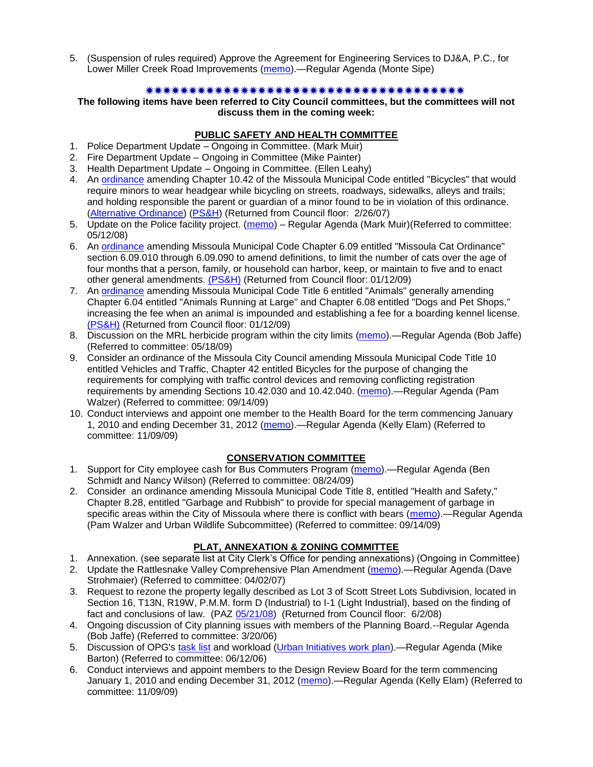5. (Suspension of rules required) Approve the Agreement for Engineering Services to DJ&A, P.C., for Lower Miller Creek Road Improvements [\(memo\)](http://www.ci.missoula.mt.us/DocumentView.aspx?DID=2563).—Regular Agenda (Monte Sipe)

### 

### **The following items have been referred to City Council committees, but the committees will not discuss them in the coming week:**

### **PUBLIC SAFETY AND HEALTH COMMITTEE**

- 1. Police Department Update Ongoing in Committee. (Mark Muir)
- 2. Fire Department Update Ongoing in Committee (Mike Painter)
- 3. Health Department Update Ongoing in Committee. (Ellen Leahy)
- 4. An [ordinance](ftp://ftp.ci.missoula.mt.us/Packets/Council/2007/2007-02-05/07-01-31 Helmet and bikes psh.htm) amending Chapter 10.42 of the Missoula Municipal Code entitled "Bicycles" that would require minors to wear headgear while bicycling on streets, roadways, sidewalks, alleys and trails; and holding responsible the parent or guardian of a minor found to be in violation of this ordinance. [\(Alternative Ordinance\)](ftp://ftp.ci.missoula.mt.us/Packets/Council/2007/2007-02-26/07-02-19_Alternative_Helmet_and_bikes.htm) [\(PS&H\)](ftp://ftp.ci.missoula.mt.us/Packets/Council/2007/2007-02-05/070131psh.pdf) (Returned from Council floor: 2/26/07)
- 5. Update on the Police facility project. [\(memo\)](ftp://ftp.ci.missoula.mt.us/Packets/Council/2008/2008-05-12/Referrals/Buildingpresentationreferral.htm) Regular Agenda (Mark Muir) (Referred to committee: 05/12/08)
- 6. An [ordinance](ftp://ftp.ci.missoula.mt.us/Packets/Council/2008/2008-12-15/2008CatOrdinanceAmendment%5B1%5D.pdf) amending Missoula Municipal Code Chapter 6.09 entitled "Missoula Cat Ordinance" section 6.09.010 through 6.09.090 to amend definitions, to limit the number of cats over the age of four months that a person, family, or household can harbor, keep, or maintain to five and to enact other general amendments. [\(PS&H\)](ftp://ftp.ci.missoula.mt.us/Packets/Council/2008/2008-12-15/081210psh.pdf) (Returned from Council floor: 01/12/09)
- 7. An [ordinance](ftp://ftp.ci.missoula.mt.us/Packets/Council/2008/2008-12-15/DogOrdinance--PSHrevisions.pdf) amending Missoula Municipal Code Title 6 entitled "Animals" generally amending Chapter 6.04 entitled "Animals Running at Large" and Chapter 6.08 entitled "Dogs and Pet Shops," increasing the fee when an animal is impounded and establishing a fee for a boarding kennel license. [\(PS&H\)](ftp://ftp.ci.missoula.mt.us/Packets/Council/2008/2008-12-15/081210psh.pdf) (Returned from Council floor: 01/12/09)
- 8. Discussion on the MRL herbicide program within the city limits [\(memo\)](ftp://ftp.ci.missoula.mt.us/Packets/Council/2009/2009-05-18/Referrals/MRLWeedSprayingReferral.pdf).—Regular Agenda (Bob Jaffe) (Referred to committee: 05/18/09)
- 9. Consider an ordinance of the Missoula City Council amending Missoula Municipal Code Title 10 entitled Vehicles and Traffic, Chapter 42 entitled Bicycles for the purpose of changing the requirements for complying with traffic control devices and removing conflicting registration requirements by amending Sections 10.42.030 and 10.42.040. [\(memo\)](http://www.ci.missoula.mt.us/DocumentView.aspx?DID=2223).—Regular Agenda (Pam Walzer) (Referred to committee: 09/14/09)
- 10. Conduct interviews and appoint one member to the Health Board for the term commencing January 1, 2010 and ending December 31, 2012 [\(memo\)](http://www.ci.missoula.mt.us/DocumentView.aspx?DID=2536).—Regular Agenda (Kelly Elam) (Referred to committee: 11/09/09)

# **CONSERVATION COMMITTEE**

- 1. Support for City employee cash for Bus Commuters Program [\(memo\)](http://www.ci.missoula.mt.us/DocumentView.aspx?DID=2127).—Regular Agenda (Ben Schmidt and Nancy Wilson) (Referred to committee: 08/24/09)
- 2. Consider an ordinance amending Missoula Municipal Code Title 8, entitled "Health and Safety," Chapter 8.28, entitled "Garbage and Rubbish" to provide for special management of garbage in specific areas within the City of Missoula where there is conflict with bears [\(memo\)](http://www.ci.missoula.mt.us/DocumentView.aspx?DID=2228).—Regular Agenda (Pam Walzer and Urban Wildlife Subcommittee) (Referred to committee: 09/14/09)

# **PLAT, ANNEXATION & ZONING COMMITTEE**

- 1. Annexation. (see separate list at City Clerk's Office for pending annexations) (Ongoing in Committee)
- 2. Update the Rattlesnake Valley Comprehensive Plan Amendment [\(memo\)](ftp://ftp.ci.missoula.mt.us/Packets/Council/2007/2007-04-02/Referrals/Rattlesnake_Plan_Update_referral.pdf).—Regular Agenda (Dave Strohmaier) (Referred to committee: 04/02/07)
- 3. Request to rezone the property legally described as Lot 3 of Scott Street Lots Subdivision, located in Section 16, T13N, R19W, P.M.M. form D (Industrial) to I-1 (Light Industrial), based on the finding of fact and conclusions of law. (PAZ [05/21/08\)](ftp://ftp.ci.missoula.mt.us/Packets/Council/2008/2008-06-02/080521paz.pdf) (Returned from Council floor: 6/2/08)
- 4. Ongoing discussion of City planning issues with members of the Planning Board.--Regular Agenda (Bob Jaffe) (Referred to committee: 3/20/06)
- 5. Discussion of OPG's [task list](ftp://ftp.ci.missoula.mt.us/Packets/Council/2008/2008-07-07/UITaskList.pdf) and workload [\(Urban Initiatives work plan\)](ftp://ftp.ci.missoula.mt.us/Packets/Council/2006/2006-06-12/Referrals/Urban_Init.htm).—Regular Agenda (Mike Barton) (Referred to committee: 06/12/06)
- 6. Conduct interviews and appoint members to the Design Review Board for the term commencing January 1, 2010 and ending December 31, 2012 [\(memo\)](http://www.ci.missoula.mt.us/DocumentView.aspx?DID=2525).—Regular Agenda (Kelly Elam) (Referred to committee: 11/09/09)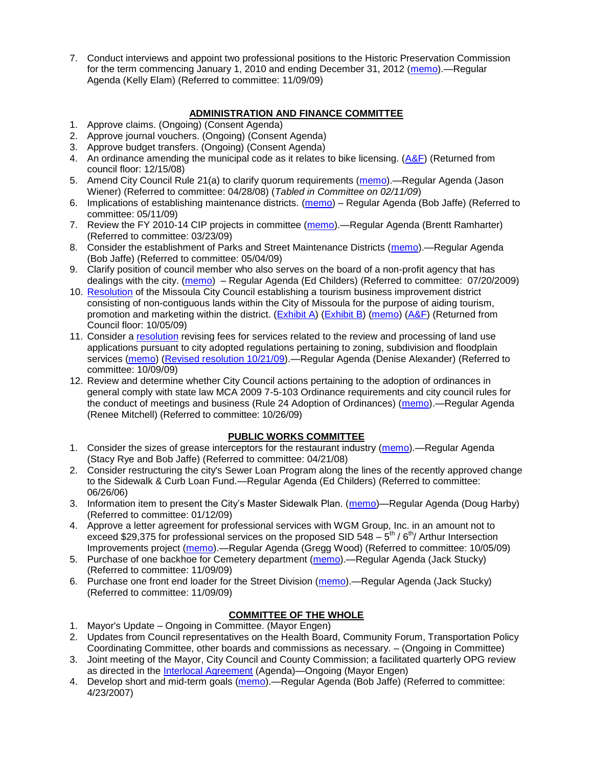7. Conduct interviews and appoint two professional positions to the Historic Preservation Commission for the term commencing January 1, 2010 and ending December 31, 2012 [\(memo\)](http://www.ci.missoula.mt.us/DocumentView.aspx?DID=2535).—Regular Agenda (Kelly Elam) (Referred to committee: 11/09/09)

## **ADMINISTRATION AND FINANCE COMMITTEE**

- 1. Approve claims. (Ongoing) (Consent Agenda)
- 2. Approve journal vouchers. (Ongoing) (Consent Agenda)
- 3. Approve budget transfers. (Ongoing) (Consent Agenda)
- 4. An ordinance amending the municipal code as it relates to bike licensing.  $(A\&F)$  (Returned from council floor: 12/15/08)
- 5. Amend City Council Rule 21(a) to clarify quorum requirements [\(memo\)](ftp://ftp.ci.missoula.mt.us/Packets/Council/2008/2008-04-28/Referrals/CouncilRule21aReferral.pdf).—Regular Agenda (Jason Wiener) (Referred to committee: 04/28/08) (*Tabled in Committee on 02/11/09*)
- 6. Implications of establishing maintenance districts. [\(memo\)](ftp://ftp.ci.missoula.mt.us/Packets/Council/2009/2009-05-11/Referrals/MaintenanceDistricts.pdf) Regular Agenda (Bob Jaffe) (Referred to committee: 05/11/09)
- 7. Review the FY 2010-14 CIP projects in committee [\(memo\)](ftp://ftp.ci.missoula.mt.us/Packets/Council/2009/2009-03-23/Referrals/RefAFCIPBudgetReviewFY2010-2014CIP.pdf).—Regular Agenda (Brentt Ramharter) (Referred to committee: 03/23/09)
- 8. Consider the establishment of Parks and Street Maintenance Districts [\(memo\)](ftp://ftp.ci.missoula.mt.us/Packets/Council/2009/2009-05-04/Referrals/MaintenanceDistricts.pdf).—Regular Agenda (Bob Jaffe) (Referred to committee: 05/04/09)
- 9. Clarify position of council member who also serves on the board of a non-profit agency that has dealings with the city. [\(memo\)](http://www.ci.missoula.mt.us/DocumentView.aspx?DID=1840) – Regular Agenda (Ed Childers) (Referred to committee: 07/20/2009)
- 10. [Resolution](http://www.ci.missoula.mt.us/DocumentView.aspx?DID=2373) of the Missoula City Council establishing a tourism business improvement district consisting of non-contiguous lands within the City of Missoula for the purpose of aiding tourism, promotion and marketing within the district. [\(Exhibit A\)](http://www.ci.missoula.mt.us/DocumentView.aspx?DID=2090) [\(Exhibit B\)](http://www.ci.missoula.mt.us/DocumentView.aspx?DID=2374) [\(memo\)](http://www.ci.missoula.mt.us/DocumentView.aspx?DID=2097) [\(A&F\)](http://www.ci.missoula.mt.us/Archive.aspx?ADID=1172) (Returned from Council floor: 10/05/09)
- 11. Consider a [resolution](http://www.ci.missoula.mt.us/DocumentView.aspx?DID=2444) revising fees for services related to the review and processing of land use applications pursuant to city adopted regulations pertaining to zoning, subdivision and floodplain services [\(memo\)](http://www.ci.missoula.mt.us/DocumentView.aspx?DID=2387) [\(Revised resolution 10/21/09\)](http://www.ci.missoula.mt.us/DocumentView.aspx?DID=2399).—Regular Agenda (Denise Alexander) (Referred to committee: 10/09/09)
- 12. Review and determine whether City Council actions pertaining to the adoption of ordinances in general comply with state law MCA 2009 7-5-103 Ordinance requirements and city council rules for the conduct of meetings and business (Rule 24 Adoption of Ordinances) [\(memo\)](http://www.ci.missoula.mt.us/DocumentView.aspx?DID=2468).—Regular Agenda (Renee Mitchell) (Referred to committee: 10/26/09)

### **PUBLIC WORKS COMMITTEE**

- 1. Consider the sizes of grease interceptors for the restaurant industry [\(memo\)](ftp://ftp.ci.missoula.mt.us/Packets/Council/2008/2008-04-21/Referrals/Industrial_waste_restaurants.pdf).—Regular Agenda (Stacy Rye and Bob Jaffe) (Referred to committee: 04/21/08)
- 2. Consider restructuring the city's Sewer Loan Program along the lines of the recently approved change to the Sidewalk & Curb Loan Fund.—Regular Agenda (Ed Childers) (Referred to committee: 06/26/06)
- 3. Information item to present the City's Master Sidewalk Plan. [\(memo\)](ftp://ftp.ci.missoula.mt.us/packets/council/2009/2009-01-12/Referrals/MstrSdwlkPlnREF.pdf)—Regular Agenda (Doug Harby) (Referred to committee: 01/12/09)
- 4. Approve a letter agreement for professional services with WGM Group, Inc. in an amount not to exceed \$29,375 for professional services on the proposed SID 548  $-5^{\text{th}}$  / 6<sup>th</sup>/ Arthur Intersection Improvements project [\(memo\)](http://www.ci.missoula.mt.us/DocumentView.aspx?DID=2363).—Regular Agenda (Gregg Wood) (Referred to committee: 10/05/09)
- 5. Purchase of one backhoe for Cemetery department [\(memo\)](http://www.ci.missoula.mt.us/DocumentView.aspx?DID=2528).—Regular Agenda (Jack Stucky) (Referred to committee: 11/09/09)
- 6. Purchase one front end loader for the Street Division [\(memo\)](http://www.ci.missoula.mt.us/DocumentView.aspx?DID=2529).—Regular Agenda (Jack Stucky) (Referred to committee: 11/09/09)

# **COMMITTEE OF THE WHOLE**

- 1. Mayor's Update Ongoing in Committee. (Mayor Engen)
- 2. Updates from Council representatives on the Health Board, Community Forum, Transportation Policy Coordinating Committee, other boards and commissions as necessary. – (Ongoing in Committee)
- 3. Joint meeting of the Mayor, City Council and County Commission; a facilitated quarterly OPG review as directed in the [Interlocal Agreement](ftp://ftp.ci.missoula.mt.us/Documents/Mayor/OPG/Adopted-ILA-2005.pdf) (Agenda)—Ongoing (Mayor Engen)
- 4. Develop short and mid-term goals [\(memo\)](ftp://ftp.ci.missoula.mt.us/Packets/Council/2007/2007-04-23/Referrals/Council_Goals.pdf).—Regular Agenda (Bob Jaffe) (Referred to committee: 4/23/2007)